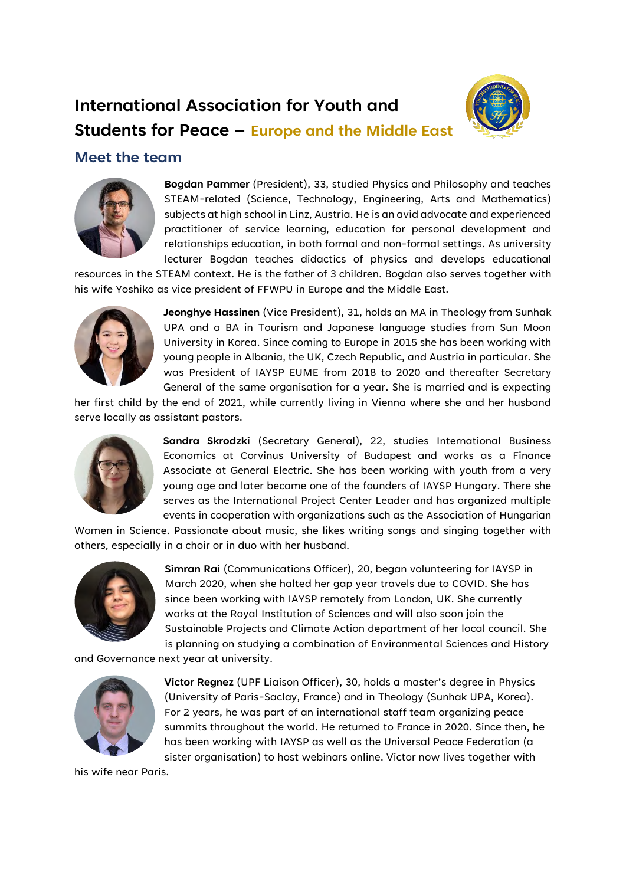## **International Association for Youth and**



## **Students for Peace – Europe and the Middle East**

## **Meet the team**



**Bogdan Pammer** (President), 33, studied Physics and Philosophy and teaches STEAM-related (Science, Technology, Engineering, Arts and Mathematics) subjects at high school in Linz, Austria. He is an avid advocate and experienced practitioner of service learning, education for personal development and relationships education, in both formal and non-formal settings. As university lecturer Bogdan teaches didactics of physics and develops educational

resources in the STEAM context. He is the father of 3 children. Bogdan also serves together with his wife Yoshiko as vice president of FFWPU in Europe and the Middle East.



**Jeonghye Hassinen** (Vice President), 31, holds an MA in Theology from Sunhak UPA and a BA in Tourism and Japanese language studies from Sun Moon University in Korea. Since coming to Europe in 2015 she has been working with young people in Albania, the UK, Czech Republic, and Austria in particular. She was President of IAYSP EUME from 2018 to 2020 and thereafter Secretary General of the same organisation for a year. She is married and is expecting

her first child by the end of 2021, while currently living in Vienna where she and her husband serve locally as assistant pastors.



**Sandra Skrodzki** (Secretary General), 22, studies International Business Economics at Corvinus University of Budapest and works as a Finance Associate at General Electric. She has been working with youth from a very young age and later became one of the founders of IAYSP Hungary. There she serves as the International Project Center Leader and has organized multiple events in cooperation with organizations such as the Association of Hungarian

Women in Science. Passionate about music, she likes writing songs and singing together with others, especially in a choir or in duo with her husband.



**Simran Rai** (Communications Officer), 20, began volunteering for IAYSP in March 2020, when she halted her gap year travels due to COVID. She has since been working with IAYSP remotely from London, UK. She currently works at the Royal Institution of Sciences and will also soon join the Sustainable Projects and Climate Action department of her local council. She is planning on studying a combination of Environmental Sciences and History

and Governance next year at university.



**Victor Regnez** (UPF Liaison Officer), 30, holds a master's degree in Physics (University of Paris-Saclay, France) and in Theology (Sunhak UPA, Korea). For 2 years, he was part of an international staff team organizing peace summits throughout the world. He returned to France in 2020. Since then, he has been working with IAYSP as well as the Universal Peace Federation (a sister organisation) to host webinars online. Victor now lives together with

his wife near Paris.